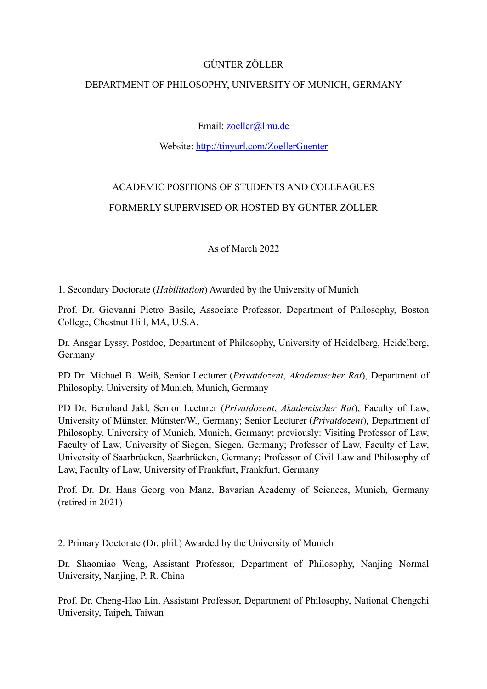### GÜNTER ZÖLLER

## DEPARTMENT OF PHILOSOPHY, UNIVERSITY OF MUNICH, GERMANY

## Email: [zoeller@lmu.de](mailto:zoeller@lmu.de)

### Website:<http://tinyurl.com/ZoellerGuenter>

# ACADEMIC POSITIONS OF STUDENTS AND COLLEAGUES FORMERLY SUPERVISED OR HOSTED BY GÜNTER ZÖLLER

As of March 2022

1. Secondary Doctorate (*Habilitation*) Awarded by the University of Munich

Prof. Dr. Giovanni Pietro Basile, Associate Professor, Department of Philosophy, Boston College, Chestnut Hill, MA, U.S.A.

Dr. Ansgar Lyssy, Postdoc, Department of Philosophy, University of Heidelberg, Heidelberg, Germany

PD Dr. Michael B. Weiß, Senior Lecturer (*Privatdozent*, *Akademischer Rat*), Department of Philosophy, University of Munich, Munich, Germany

PD Dr. Bernhard Jakl, Senior Lecturer (*Privatdozent*, *Akademischer Rat*), Faculty of Law, University of Münster, Münster/W., Germany; Senior Lecturer (*Privatdozent*), Department of Philosophy, University of Munich, Munich, Germany; previously: Visiting Professor of Law, Faculty of Law, University of Siegen, Siegen, Germany; Professor of Law, Faculty of Law, University of Saarbrücken, Saarbrücken, Germany; Professor of Civil Law and Philosophy of Law, Faculty of Law, University of Frankfurt, Frankfurt, Germany

Prof. Dr. Dr. Hans Georg von Manz, Bavarian Academy of Sciences, Munich, Germany (retired in 2021)

2. Primary Doctorate (Dr. phil*.*) Awarded by the University of Munich

Dr. Shaomiao Weng, Assistant Professor, Department of Philosophy, Nanjing Normal University, Nanjing, P. R. China

Prof. Dr. Cheng-Hao Lin, Assistant Professor, Department of Philosophy, National Chengchi University, Taipeh, Taiwan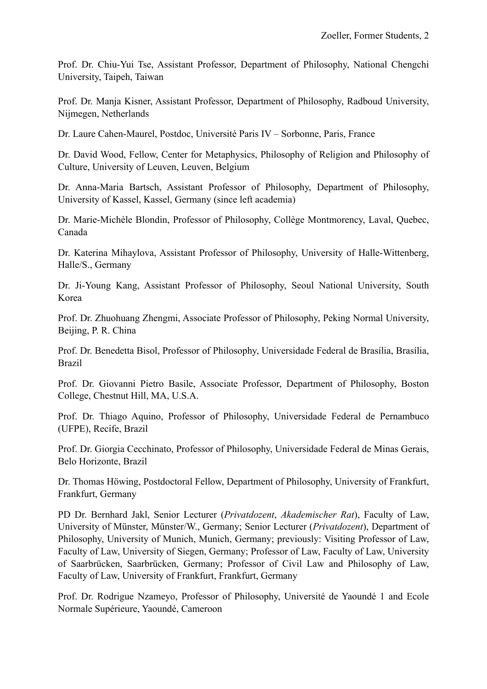Prof. Dr. Chiu-Yui Tse, Assistant Professor, Department of Philosophy, National Chengchi University, Taipeh, Taiwan

Prof. Dr. Manja Kisner, Assistant Professor, Department of Philosophy, Radboud University, Nijmegen, Netherlands

Dr. Laure Cahen-Maurel, Postdoc, Université Paris IV – Sorbonne, Paris, France

Dr. David Wood, Fellow, Center for Metaphysics, Philosophy of Religion and Philosophy of Culture, University of Leuven, Leuven, Belgium

Dr. Anna-Maria Bartsch, Assistant Professor of Philosophy, Department of Philosophy, University of Kassel, Kassel, Germany (since left academia)

Dr. Marie-Michèle Blondin, Professor of Philosophy, Collège Montmorency, Laval, Quebec, Canada

Dr. Katerina Mihaylova, Assistant Professor of Philosophy, University of Halle-Wittenberg, Halle/S., Germany

Dr. Ji-Young Kang, Assistant Professor of Philosophy, Seoul National University, South Korea

Prof. Dr. Zhuohuang Zhengmi, Associate Professor of Philosophy, Peking Normal University, Beijing, P. R. China

Prof. Dr. Benedetta Bisol, Professor of Philosophy, Universidade Federal de Brasília, Brasília, Brazil

Prof. Dr. Giovanni Pietro Basile, Associate Professor, Department of Philosophy, Boston College, Chestnut Hill, MA, U.S.A.

Prof. Dr. Thiago Aquino, Professor of Philosophy, Universidade Federal de Pernambuco (UFPE), Recife, Brazil

Prof. Dr. Giorgia Cecchinato, Professor of Philosophy, Universidade Federal de Minas Gerais, Belo Horizonte, Brazil

Dr. Thomas Höwing, Postdoctoral Fellow, Department of Philosophy, University of Frankfurt, Frankfurt, Germany

PD Dr. Bernhard Jakl, Senior Lecturer (*Privatdozent*, *Akademischer Rat*), Faculty of Law, University of Münster, Münster/W., Germany; Senior Lecturer (*Privatdozent*), Department of Philosophy, University of Munich, Munich, Germany; previously: Visiting Professor of Law, Faculty of Law, University of Siegen, Germany; Professor of Law, Faculty of Law, University of Saarbrücken, Saarbrücken, Germany; Professor of Civil Law and Philosophy of Law, Faculty of Law, University of Frankfurt, Frankfurt, Germany

Prof. Dr. Rodrigue Nzameyo, Professor of Philosophy, Université de Yaoundé 1 and Ecole Normale Supérieure, Yaoundé, Cameroon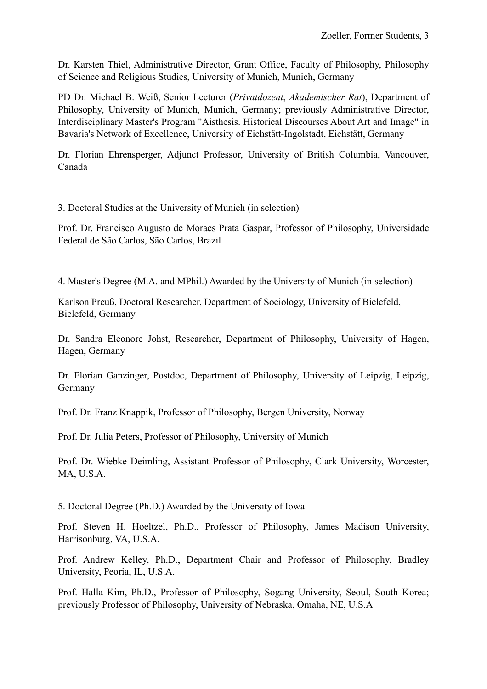Dr. Karsten Thiel, Administrative Director, Grant Office, Faculty of Philosophy, Philosophy of Science and Religious Studies, University of Munich, Munich, Germany

PD Dr. Michael B. Weiß, Senior Lecturer (*Privatdozent*, *Akademischer Rat*), Department of Philosophy, University of Munich, Munich, Germany; previously Administrative Director, Interdisciplinary Master's Program "Aisthesis. Historical Discourses About Art and Image" in Bavaria's Network of Excellence, University of Eichstätt-Ingolstadt, Eichstätt, Germany

Dr. Florian Ehrensperger, Adjunct Professor, University of British Columbia, Vancouver, Canada

3. Doctoral Studies at the University of Munich (in selection)

Prof. Dr. Francisco Augusto de Moraes Prata Gaspar, Professor of Philosophy, Universidade Federal de São Carlos, São Carlos, Brazil

4. Master's Degree (M.A. and MPhil.) Awarded by the University of Munich (in selection)

Karlson Preuß, Doctoral Researcher, Department of Sociology, University of Bielefeld, Bielefeld, Germany

Dr. Sandra Eleonore Johst, Researcher, Department of Philosophy, University of Hagen, Hagen, Germany

Dr. Florian Ganzinger, Postdoc, Department of Philosophy, University of Leipzig, Leipzig, Germany

Prof. Dr. Franz Knappik, Professor of Philosophy, Bergen University, Norway

Prof. Dr. Julia Peters, Professor of Philosophy, University of Munich

Prof. Dr. Wiebke Deimling, Assistant Professor of Philosophy, Clark University, Worcester, MA, U.S.A.

5. Doctoral Degree (Ph.D.) Awarded by the University of Iowa

Prof. Steven H. Hoeltzel, Ph.D., Professor of Philosophy, James Madison University, Harrisonburg, VA, U.S.A.

Prof. Andrew Kelley, Ph.D., Department Chair and Professor of Philosophy, Bradley University, Peoria, IL, U.S.A.

Prof. Halla Kim, Ph.D., Professor of Philosophy, Sogang University, Seoul, South Korea; previously Professor of Philosophy, University of Nebraska, Omaha, NE, U.S.A